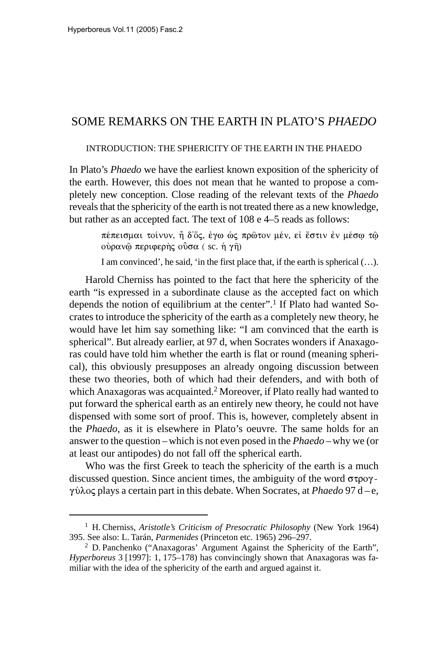# SOME REMARKS ON THE EARTH IN PLATO'S *PHAEDO*

INTRODUCTION: THE SPHERICITY OF THE EARTH IN THE PHAEDO

In Plato's *Phaedo* we have the earliest known exposition of the sphericity of the earth. However, this does not mean that he wanted to propose a completely new conception. Close reading of the relevant texts of the *Phaedo* reveals that the sphericity of the earth is not treated there as a new knowledge, but rather as an accepted fact. The text of 108 e 4–5 reads as follows:

> πέπεισμαι τοίνυν, ἦ δ'ὄς, ἐγω ὡς πρῶτον μέν, εἰ ἔστιν ἐν μέσφ τῷ οὐραν@ περιφερὴς οὖσα ( sc. ἡ γῆ)

> I am convinced', he said, 'in the first place that, if the earth is spherical (…).

Harold Cherniss has pointed to the fact that here the sphericity of the earth "is expressed in a subordinate clause as the accepted fact on which depends the notion of equilibrium at the center".<sup>1</sup> If Plato had wanted Socrates to introduce the sphericity of the earth as a completely new theory, he would have let him say something like: "I am convinced that the earth is spherical". But already earlier, at 97 d, when Socrates wonders if Anaxagoras could have told him whether the earth is flat or round (meaning spherical), this obviously presupposes an already ongoing discussion between these two theories, both of which had their defenders, and with both of which Anaxagoras was acquainted.<sup>2</sup> Moreover, if Plato really had wanted to put forward the spherical earth as an entirely new theory, he could not have dispensed with some sort of proof. This is, however, completely absent in the *Phaedo*, as it is elsewhere in Plato's oeuvre. The same holds for an answer to the question –which is not even posed in the *Phaedo* –why we (or at least our antipodes) do not fall off the spherical earth.

Who was the first Greek to teach the sphericity of the earth is a much discussed question. Since ancient times, the ambiguity of the word  $\sigma \tau \rho o \gamma$ γύλος plays a certain part in this debate. When Socrates, at *Phaedo* 97 d – e,

<sup>1</sup> H. Cherniss, *Aristotle's Criticism of Presocratic Philosophy* (New York 1964) 395. See also: L. Tarán, *Parmenides* (Princeton etc. 1965) 296–297.

<sup>2</sup> D. Panchenko ("Anaxagoras' Argument Against the Sphericity of the Earth", *Hyperboreus* 3 [1997]: 1, 175–178) has convincingly shown that Anaxagoras was familiar with the idea of the sphericity of the earth and argued against it.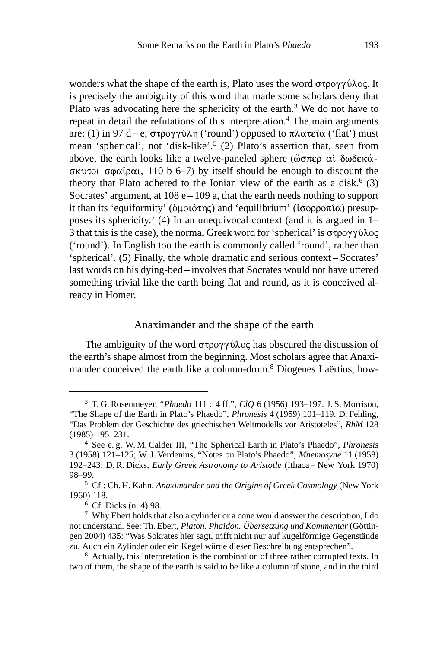wonders what the shape of the earth is, Plato uses the word  $\sigma \tau \rho o \gamma \gamma o \lambda o \varsigma$ . It is precisely the ambiguity of this word that made some scholars deny that Plato was advocating here the sphericity of the earth.<sup>3</sup> We do not have to repeat in detail the refutations of this interpretation.<sup>4</sup> The main arguments are: (1) in 97 d – e, στρογγύλη ('round') opposed to πλατεῖα ('flat') must mean 'spherical', not 'disk-like'.5 (2) Plato's assertion that, seen from above, the earth looks like a twelve-paneled sphere ( $\tilde{\omega}$ σπερ αίδ $\omega$ δεκάσκυτοι σφαΐραι, 110 b 6–7) by itself should be enough to discount the theory that Plato adhered to the Ionian view of the earth as a disk.<sup>6</sup> (3) Socrates' argument, at  $108 e - 109 a$ , that the earth needs nothing to support it than its 'equiformity' (δμοιότης) and 'equilibrium' (ισορροπία) presupposes its sphericity.<sup>7</sup> (4) In an unequivocal context (and it is argued in 1– 3 that this is the case), the normal Greek word for 'spherical' is  $\sigma \tau \rho \partial \gamma \gamma \partial \rho \partial \zeta$ ('round'). In English too the earth is commonly called 'round', rather than 'spherical'. (5) Finally, the whole dramatic and serious context – Socrates' last words on his dying-bed – involves that Socrates would not have uttered something trivial like the earth being flat and round, as it is conceived already in Homer.

### Anaximander and the shape of the earth

The ambiguity of the word  $\sigma \tau \rho \circ \gamma \circ \lambda \circ \varsigma$  has obscured the discussion of the earth's shape almost from the beginning. Most scholars agree that Anaximander conceived the earth like a column-drum.<sup>8</sup> Diogenes Laërtius, how-

<sup>3</sup> T. G. Rosenmeyer, "*Phaedo* 111 c 4 ff.", *ClQ* 6 (1956) 193–197. J. S. Morrison, "The Shape of the Earth in Plato's Phaedo", *Phronesis* 4 (1959) 101–119. D. Fehling, "Das Problem der Geschichte des griechischen Weltmodells vor Aristoteles", *RhM* 128 (1985) 195–231.

<sup>4</sup> See e. g. W. M. Calder III, "The Spherical Earth in Plato's Phaedo", *Phronesis* 3 (1958) 121–125; W.J. Verdenius, "Notes on Plato's Phaedo", *Mnemosyne* 11 (1958) 192–243; D. R. Dicks, *Early Greek Astronomy to Aristotle* (Ithaca – New York 1970) 98–99.

<sup>5</sup> Cf.: Ch. H. Kahn, *Anaximander and the Origins of Greek Cosmology* (New York 1960) 118.

 $6$  Cf. Dicks (n. 4) 98.

<sup>7</sup> Why Ebert holds that also a cylinder or a cone would answer the description, I do not understand. See: Th. Ebert, *Platon. Phaidon. Übersetzung und Kommentar* (Göttingen 2004) 435: "Was Sokrates hier sagt, trifft nicht nur auf kugelförmige Gegenstände zu. Auch ein Zylinder oder ein Kegel würde dieser Beschreibung entsprechen".

<sup>&</sup>lt;sup>8</sup> Actually, this interpretation is the combination of three rather corrupted texts. In two of them, the shape of the earth is said to be like a column of stone, and in the third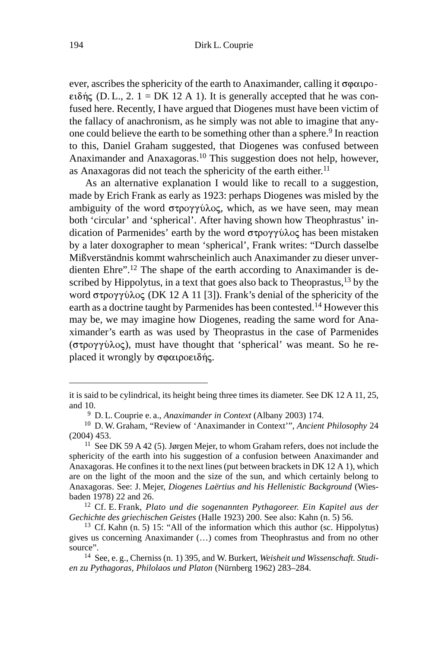ever, ascribes the sphericity of the earth to Anaximander, calling it  $\sigma\varphi\alpha_1\varphi\circ\varphi\alpha_2$ ειδής (D. L., 2. 1 = DK 12 A 1). It is generally accepted that he was confused here. Recently, I have argued that Diogenes must have been victim of the fallacy of anachronism, as he simply was not able to imagine that anyone could believe the earth to be something other than a sphere.<sup>9</sup> In reaction to this, Daniel Graham suggested, that Diogenes was confused between Anaximander and Anaxagoras.10 This suggestion does not help, however, as Anaxagoras did not teach the sphericity of the earth either.<sup>11</sup>

As an alternative explanation I would like to recall to a suggestion, made by Erich Frank as early as 1923: perhaps Diogenes was misled by the ambiguity of the word  $\sigma \tau \rho \circ \gamma \circ \lambda \circ \varsigma$ , which, as we have seen, may mean both 'circular' and 'spherical'. After having shown how Theophrastus' indication of Parmenides' earth by the word στρογγύλος has been mistaken by a later doxographer to mean 'spherical', Frank writes: "Durch dasselbe Mißverständnis kommt wahrscheinlich auch Anaximander zu dieser unverdienten Ehre".12 The shape of the earth according to Anaximander is described by Hippolytus, in a text that goes also back to Theoprastus, $13$  by the word στρογγύλος (DK 12 A 11 [3]). Frank's denial of the sphericity of the earth as a doctrine taught by Parmenides has been contested.<sup>14</sup> However this may be, we may imagine how Diogenes, reading the same word for Anaximander's earth as was used by Theoprastus in the case of Parmenides (στρογγύλος), must have thought that 'spherical' was meant. So he replaced it wrongly by σφαιροειδής.

it is said to be cylindrical, its height being three times its diameter. See DK 12 A 11, 25, and 10.

<sup>9</sup> D. L. Couprie e. a., *Anaximander in Context* (Albany 2003) 174.

<sup>10</sup> D. W. Graham, "Review of 'Anaximander in Context'", *Ancient Philosophy* 24 (2004) 453.

<sup>&</sup>lt;sup>11</sup> See DK 59 A 42 (5). Jørgen Mejer, to whom Graham refers, does not include the sphericity of the earth into his suggestion of a confusion between Anaximander and Anaxagoras. He confines it to the next lines (put between brackets in DK 12 A 1), which are on the light of the moon and the size of the sun, and which certainly belong to Anaxagoras. See: J. Mejer, *Diogenes Laërtius and his Hellenistic Background* (Wiesbaden 1978) 22 and 26.

<sup>12</sup> Cf. E. Frank, *Plato und die sogenannten Pythagoreer. Ein Kapitel aus der Gechichte des griechischen Geistes* (Halle 1923) 200. See also: Kahn (n. 5) 56.

<sup>13</sup> Cf. Kahn (n. 5) 15: "All of the information which this author (sc. Hippolytus) gives us concerning Anaximander (…) comes from Theophrastus and from no other source".

<sup>14</sup> See, e. g., Cherniss (n. 1) 395, and W. Burkert, *Weisheit und Wissenschaft. Studien zu Pythagoras, Philolaos und Platon* (Nürnberg 1962) 283–284.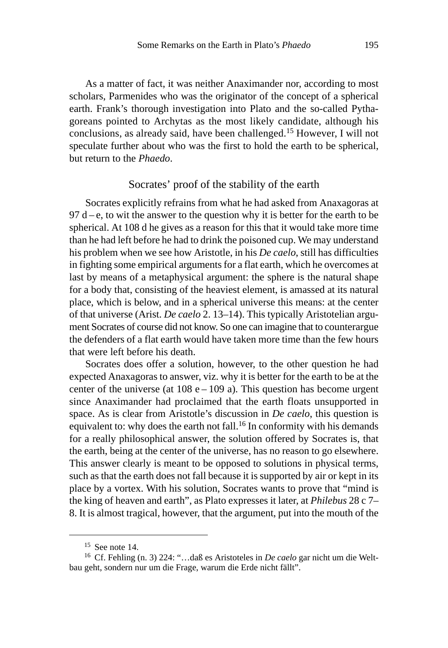As a matter of fact, it was neither Anaximander nor, according to most scholars, Parmenides who was the originator of the concept of a spherical earth. Frank's thorough investigation into Plato and the so-called Pythagoreans pointed to Archytas as the most likely candidate, although his conclusions, as already said, have been challenged.15 However, I will not speculate further about who was the first to hold the earth to be spherical, but return to the *Phaedo*.

## Socrates' proof of the stability of the earth

Socrates explicitly refrains from what he had asked from Anaxagoras at  $97 d-e$ , to wit the answer to the question why it is better for the earth to be spherical. At 108 d he gives as a reason for this that it would take more time than he had left before he had to drink the poisoned cup. We may understand his problem when we see how Aristotle, in his *De caelo*, still has difficulties in fighting some empirical arguments for a flat earth, which he overcomes at last by means of a metaphysical argument: the sphere is the natural shape for a body that, consisting of the heaviest element, is amassed at its natural place, which is below, and in a spherical universe this means: at the center of that universe (Arist. *De caelo* 2. 13–14). This typically Aristotelian argument Socrates of course did not know. So one can imagine that to counterargue the defenders of a flat earth would have taken more time than the few hours that were left before his death.

Socrates does offer a solution, however, to the other question he had expected Anaxagoras to answer, viz. why it is better for the earth to be at the center of the universe (at  $108 e - 109 a$ ). This question has become urgent since Anaximander had proclaimed that the earth floats unsupported in space. As is clear from Aristotle's discussion in *De caelo*, this question is equivalent to: why does the earth not fall.<sup>16</sup> In conformity with his demands for a really philosophical answer, the solution offered by Socrates is, that the earth, being at the center of the universe, has no reason to go elsewhere. This answer clearly is meant to be opposed to solutions in physical terms, such as that the earth does not fall because it is supported by air or kept in its place by a vortex. With his solution, Socrates wants to prove that "mind is the king of heaven and earth", as Plato expresses it later, at *Philebus* 28 c 7– 8. It is almost tragical, however, that the argument, put into the mouth of the

 $15$  See note 14.

<sup>16</sup> Cf. Fehling (n. 3) 224: "…daß es Aristoteles in *De caelo* gar nicht um die Weltbau geht, sondern nur um die Frage, warum die Erde nicht fällt".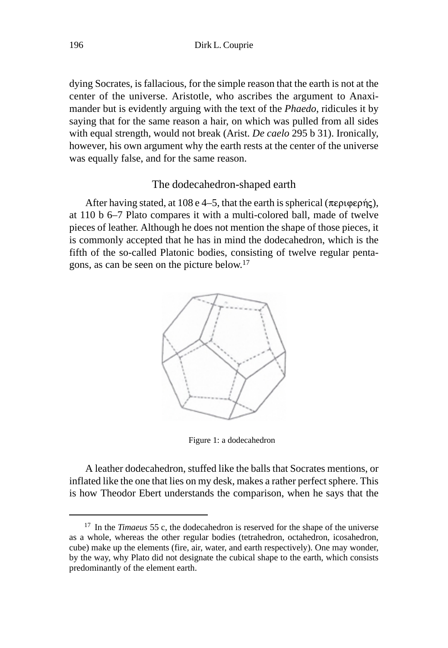dying Socrates, is fallacious, for the simple reason that the earth is not at the center of the universe. Aristotle, who ascribes the argument to Anaximander but is evidently arguing with the text of the *Phaedo*, ridicules it by saying that for the same reason a hair, on which was pulled from all sides with equal strength, would not break (Arist. *De caelo* 295 b 31). Ironically, however, his own argument why the earth rests at the center of the universe was equally false, and for the same reason.

### The dodecahedron-shaped earth

After having stated, at 108 e 4–5, that the earth is spherical ( $\pi \epsilon \rho \psi$ ), at 110 b 6–7 Plato compares it with a multi-colored ball, made of twelve pieces of leather. Although he does not mention the shape of those pieces, it is commonly accepted that he has in mind the dodecahedron, which is the fifth of the so-called Platonic bodies, consisting of twelve regular pentagons, as can be seen on the picture below.17



Figure 1: a dodecahedron

A leather dodecahedron, stuffed like the balls that Socrates mentions, or inflated like the one that lies on my desk, makes a rather perfect sphere. This is how Theodor Ebert understands the comparison, when he says that the

<sup>17</sup> In the *Timaeus* 55 c, the dodecahedron is reserved for the shape of the universe as a whole, whereas the other regular bodies (tetrahedron, octahedron, icosahedron, cube) make up the elements (fire, air, water, and earth respectively). One may wonder, by the way, why Plato did not designate the cubical shape to the earth, which consists predominantly of the element earth.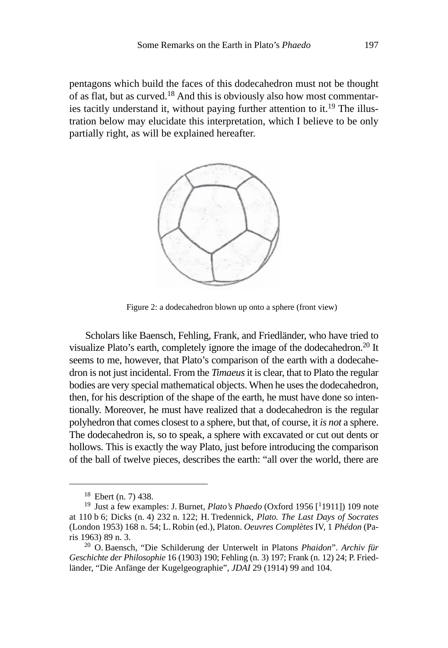pentagons which build the faces of this dodecahedron must not be thought of as flat, but as curved.18 And this is obviously also how most commentaries tacitly understand it, without paying further attention to it.19 The illustration below may elucidate this interpretation, which I believe to be only partially right, as will be explained hereafter.



Figure 2: a dodecahedron blown up onto a sphere (front view)

Scholars like Baensch, Fehling, Frank, and Friedländer, who have tried to visualize Plato's earth, completely ignore the image of the dodecahedron.<sup>20</sup> It seems to me, however, that Plato's comparison of the earth with a dodecahedron is not just incidental. From the *Timaeus* it is clear, that to Plato the regular bodies are very special mathematical objects. When he uses the dodecahedron, then, for his description of the shape of the earth, he must have done so intentionally. Moreover, he must have realized that a dodecahedron is the regular polyhedron that comes closest to a sphere, but that, of course, it *is not* a sphere. The dodecahedron is, so to speak, a sphere with excavated or cut out dents or hollows. This is exactly the way Plato, just before introducing the comparison of the ball of twelve pieces, describes the earth: "all over the world, there are

<sup>18</sup> Ebert (n. 7) 438.

<sup>&</sup>lt;sup>19</sup> Just a few examples: J. Burnet, *Plato's Phaedo* (Oxford 1956 [<sup>1</sup>1911]) 109 note at 110 b 6; Dicks (n. 4) 232 n. 122; H. Tredennick, *Plato. The Last Days of Socrates* (London 1953) 168 n. 54; L. Robin (ed.), Platon. *Oeuvres Complètes* IV, 1 *Phédon* (Paris 1963) 89 n. 3.

<sup>20</sup> O. Baensch, "Die Schilderung der Unterwelt in Platons *Phaidon*". *Archiv für Geschichte der Philosophie* 16 (1903) 190; Fehling (n. 3) 197; Frank (n. 12) 24; P. Friedländer, "Die Anfänge der Kugelgeographie", *JDAI* 29 (1914) 99 and 104.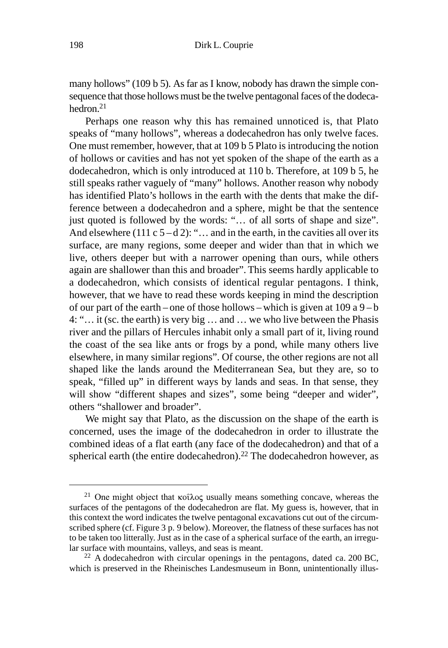many hollows" (109 b 5). As far as I know, nobody has drawn the simple consequence that those hollows must be the twelve pentagonal faces of the dodecahedron.21

Perhaps one reason why this has remained unnoticed is, that Plato speaks of "many hollows", whereas a dodecahedron has only twelve faces. One must remember, however, that at 109 b 5 Plato is introducing the notion of hollows or cavities and has not yet spoken of the shape of the earth as a dodecahedron, which is only introduced at 110 b. Therefore, at 109 b 5, he still speaks rather vaguely of "many" hollows. Another reason why nobody has identified Plato's hollows in the earth with the dents that make the difference between a dodecahedron and a sphere, might be that the sentence just quoted is followed by the words: "... of all sorts of shape and size". And elsewhere (111 c  $5-d2$ ): "... and in the earth, in the cavities all over its surface, are many regions, some deeper and wider than that in which we live, others deeper but with a narrower opening than ours, while others again are shallower than this and broader". This seems hardly applicable to a dodecahedron, which consists of identical regular pentagons. I think, however, that we have to read these words keeping in mind the description of our part of the earth – one of those hollows – which is given at  $109$  a  $9 - b$ 4: "… it (sc. the earth) is very big … and … we who live between the Phasis river and the pillars of Hercules inhabit only a small part of it, living round the coast of the sea like ants or frogs by a pond, while many others live elsewhere, in many similar regions". Of course, the other regions are not all shaped like the lands around the Mediterranean Sea, but they are, so to speak, "filled up" in different ways by lands and seas. In that sense, they will show "different shapes and sizes", some being "deeper and wider", others "shallower and broader".

We might say that Plato, as the discussion on the shape of the earth is concerned, uses the image of the dodecahedron in order to illustrate the combined ideas of a flat earth (any face of the dodecahedron) and that of a spherical earth (the entire dodecahedron).<sup>22</sup> The dodecahedron however, as

<sup>&</sup>lt;sup>21</sup> One might object that  $\kappa$  ot  $\lambda$  oc usually means something concave, whereas the surfaces of the pentagons of the dodecahedron are flat. My guess is, however, that in this context the word indicates the twelve pentagonal excavations cut out of the circumscribed sphere (cf. Figure 3 p. 9 below). Moreover, the flatness of these surfaces has not to be taken too litterally. Just as in the case of a spherical surface of the earth, an irregular surface with mountains, valleys, and seas is meant.

 $22$  A dodecahedron with circular openings in the pentagons, dated ca. 200 BC, which is preserved in the Rheinisches Landesmuseum in Bonn, unintentionally illus-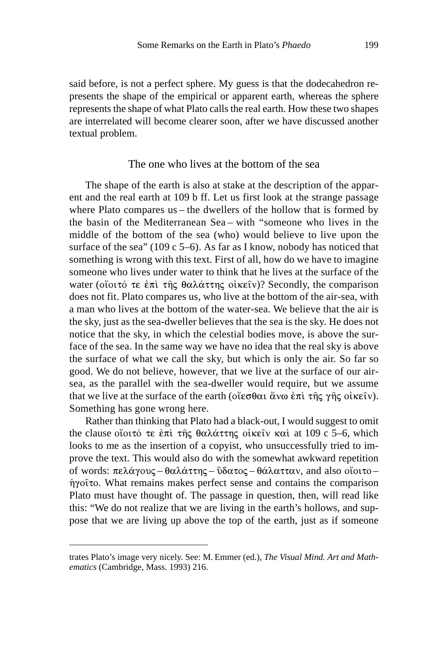said before, is not a perfect sphere. My guess is that the dodecahedron represents the shape of the empirical or apparent earth, whereas the sphere represents the shape of what Plato calls the real earth. How these two shapes are interrelated will become clearer soon, after we have discussed another textual problem.

## The one who lives at the bottom of the sea

The shape of the earth is also at stake at the description of the apparent and the real earth at 109 b ff. Let us first look at the strange passage where Plato compares us – the dwellers of the hollow that is formed by the basin of the Mediterranean Sea – with "someone who lives in the middle of the bottom of the sea (who) would believe to live upon the surface of the sea" (109 c 5–6). As far as I know, nobody has noticed that something is wrong with this text. First of all, how do we have to imagine someone who lives under water to think that he lives at the surface of the water (οἴοιτό τε ἐπὶ τῆς θαλάττης οἰκεῖν)? Secondly, the comparison does not fit. Plato compares us, who live at the bottom of the air-sea, with a man who lives at the bottom of the water-sea. We believe that the air is the sky, just as the sea-dweller believes that the sea is the sky. He does not notice that the sky, in which the celestial bodies move, is above the surface of the sea. In the same way we have no idea that the real sky is above the surface of what we call the sky, but which is only the air. So far so good. We do not believe, however, that we live at the surface of our airsea, as the parallel with the sea-dweller would require, but we assume that we live at the surface of the earth (οἴεσθαι ἄνω ἐπὶ τῆς γῆς οἰκεῖν). Something has gone wrong here.

Rather than thinking that Plato had a black-out, I would suggest to omit the clause οἴοιτό τε ἐπὶ τῆς θαλάττης οἰκεῖν καὶ at 109 c 5–6, which looks to me as the insertion of a copyist, who unsuccessfully tried to improve the text. This would also do with the somewhat awkward repetition of words: πελάγους – θαλάττης – ὕδατος – θάλατταν, and also οἴοιτο – ήγοῖτο. What remains makes perfect sense and contains the comparison Plato must have thought of. The passage in question, then, will read like this: "We do not realize that we are living in the earth's hollows, and suppose that we are living up above the top of the earth, just as if someone

trates Plato's image very nicely. See: M. Emmer (ed.), *The Visual Mind. Art and Mathematics* (Cambridge, Mass. 1993) 216.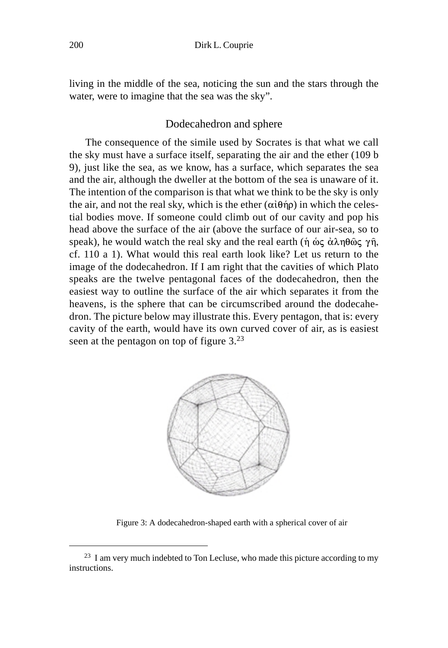living in the middle of the sea, noticing the sun and the stars through the water, were to imagine that the sea was the sky".

#### Dodecahedron and sphere

The consequence of the simile used by Socrates is that what we call the sky must have a surface itself, separating the air and the ether (109 b 9), just like the sea, as we know, has a surface, which separates the sea and the air, although the dweller at the bottom of the sea is unaware of it. The intention of the comparison is that what we think to be the sky is only the air, and not the real sky, which is the ether  $(\alpha i \theta \eta \rho)$  in which the celestial bodies move. If someone could climb out of our cavity and pop his head above the surface of the air (above the surface of our air-sea, so to speak), he would watch the real sky and the real earth ( $\eta \phi \in \alpha \lambda \eta \theta \hat{\omega} \in \gamma \hat{\eta}$ , cf. 110 a 1). What would this real earth look like? Let us return to the image of the dodecahedron. If I am right that the cavities of which Plato speaks are the twelve pentagonal faces of the dodecahedron, then the easiest way to outline the surface of the air which separates it from the heavens, is the sphere that can be circumscribed around the dodecahedron. The picture below may illustrate this. Every pentagon, that is: every cavity of the earth, would have its own curved cover of air, as is easiest seen at the pentagon on top of figure 3.<sup>23</sup>



Figure 3: A dodecahedron-shaped earth with a spherical cover of air

 $23$  I am very much indebted to Ton Lecluse, who made this picture according to my instructions.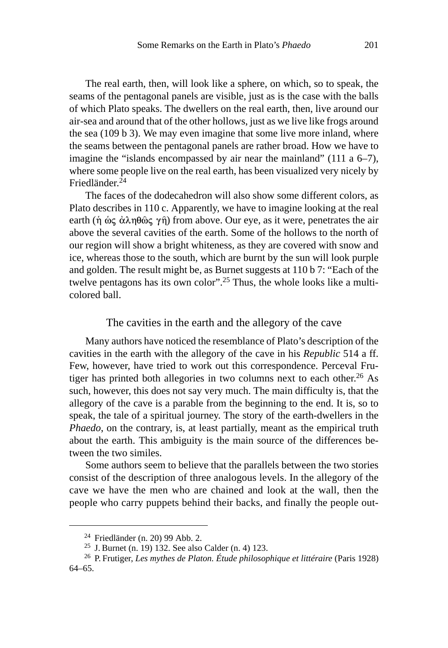The real earth, then, will look like a sphere, on which, so to speak, the seams of the pentagonal panels are visible, just as is the case with the balls of which Plato speaks. The dwellers on the real earth, then, live around our air-sea and around that of the other hollows, just as we live like frogs around the sea (109 b 3). We may even imagine that some live more inland, where the seams between the pentagonal panels are rather broad. How we have to imagine the "islands encompassed by air near the mainland" (111 a 6–7), where some people live on the real earth, has been visualized very nicely by Friedländer.24

The faces of the dodecahedron will also show some different colors, as Plato describes in 110 c. Apparently, we have to imagine looking at the real earth ( $\hat{\eta}$  ως  $\dot{\alpha} \lambda \eta \theta \hat{\omega} \zeta \gamma \hat{\eta}$ ) from above. Our eye, as it were, penetrates the air above the several cavities of the earth. Some of the hollows to the north of our region will show a bright whiteness, as they are covered with snow and ice, whereas those to the south, which are burnt by the sun will look purple and golden. The result might be, as Burnet suggests at 110 b 7: "Each of the twelve pentagons has its own color".25 Thus, the whole looks like a multicolored ball.

### The cavities in the earth and the allegory of the cave

Many authors have noticed the resemblance of Plato's description of the cavities in the earth with the allegory of the cave in his *Republic* 514 a ff. Few, however, have tried to work out this correspondence. Perceval Frutiger has printed both allegories in two columns next to each other.<sup>26</sup> As such, however, this does not say very much. The main difficulty is, that the allegory of the cave is a parable from the beginning to the end. It is, so to speak, the tale of a spiritual journey. The story of the earth-dwellers in the *Phaedo*, on the contrary, is, at least partially, meant as the empirical truth about the earth. This ambiguity is the main source of the differences between the two similes.

Some authors seem to believe that the parallels between the two stories consist of the description of three analogous levels. In the allegory of the cave we have the men who are chained and look at the wall, then the people who carry puppets behind their backs, and finally the people out-

<sup>24</sup> Friedländer (n. 20) 99 Abb. 2.

<sup>25</sup> J. Burnet (n. 19) 132. See also Calder (n. 4) 123.

<sup>26</sup> P. Frutiger, *Les mythes de Platon. Étude philosophique et littéraire* (Paris 1928) 64–65.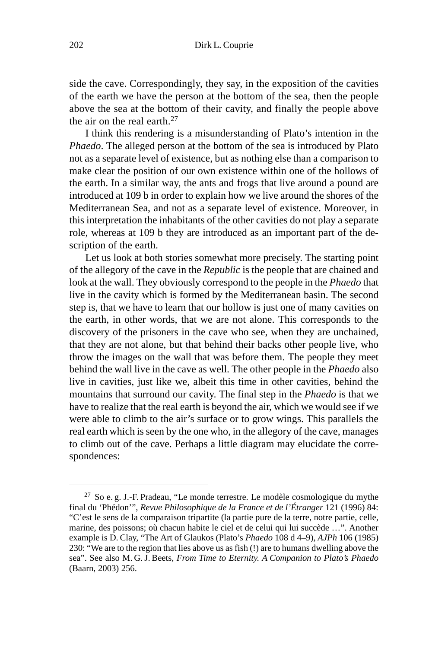side the cave. Correspondingly, they say, in the exposition of the cavities of the earth we have the person at the bottom of the sea, then the people above the sea at the bottom of their cavity, and finally the people above the air on the real earth. $27$ 

I think this rendering is a misunderstanding of Plato's intention in the *Phaedo*. The alleged person at the bottom of the sea is introduced by Plato not as a separate level of existence, but as nothing else than a comparison to make clear the position of our own existence within one of the hollows of the earth. In a similar way, the ants and frogs that live around a pound are introduced at 109 b in order to explain how we live around the shores of the Mediterranean Sea, and not as a separate level of existence. Moreover, in this interpretation the inhabitants of the other cavities do not play a separate role, whereas at 109 b they are introduced as an important part of the description of the earth.

Let us look at both stories somewhat more precisely. The starting point of the allegory of the cave in the *Republic* is the people that are chained and look at the wall. They obviously correspond to the people in the *Phaedo* that live in the cavity which is formed by the Mediterranean basin. The second step is, that we have to learn that our hollow is just one of many cavities on the earth, in other words, that we are not alone. This corresponds to the discovery of the prisoners in the cave who see, when they are unchained, that they are not alone, but that behind their backs other people live, who throw the images on the wall that was before them. The people they meet behind the wall live in the cave as well. The other people in the *Phaedo* also live in cavities, just like we, albeit this time in other cavities, behind the mountains that surround our cavity. The final step in the *Phaedo* is that we have to realize that the real earth is beyond the air, which we would see if we were able to climb to the air's surface or to grow wings. This parallels the real earth which is seen by the one who, in the allegory of the cave, manages to climb out of the cave. Perhaps a little diagram may elucidate the correspondences:

 $27$  So e. g. J.-F. Pradeau, "Le monde terrestre. Le modèle cosmologique du mythe final du 'Phédon'", *Revue Philosophique de la France et de l'Étranger* 121 (1996) 84: "C'est le sens de la comparaison tripartite (la partie pure de la terre, notre partie, celle, marine, des poissons; où chacun habite le ciel et de celui qui lui succède …". Another example is D. Clay, "The Art of Glaukos (Plato's *Phaedo* 108 d 4–9), *AJPh* 106 (1985) 230: "We are to the region that lies above us as fish (!) are to humans dwelling above the sea". See also M. G.J. Beets, *From Time to Eternity. A Companion to Plato's Phaedo* (Baarn, 2003) 256.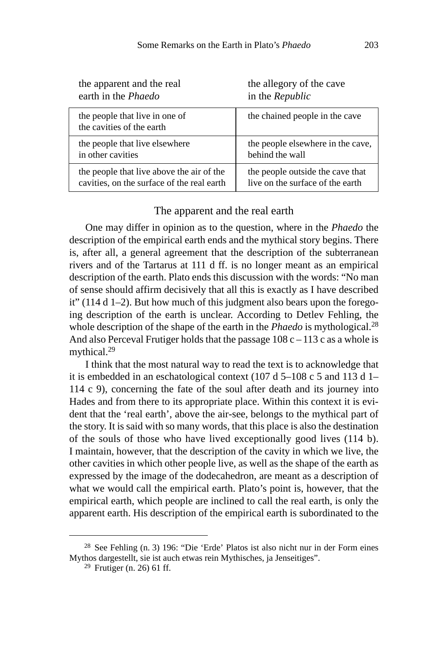| the apparent and the real                                   | the allegory of the cave          |
|-------------------------------------------------------------|-----------------------------------|
| earth in the Phaedo                                         | in the Republic                   |
| the people that live in one of<br>the cavities of the earth | the chained people in the cave    |
| the people that live elsewhere                              | the people elsewhere in the cave, |
| in other cavities                                           | behind the wall                   |
| the people that live above the air of the                   | the people outside the cave that  |
| cavities, on the surface of the real earth                  | live on the surface of the earth  |

# The apparent and the real earth

One may differ in opinion as to the question, where in the *Phaedo* the description of the empirical earth ends and the mythical story begins. There is, after all, a general agreement that the description of the subterranean rivers and of the Tartarus at 111 d ff. is no longer meant as an empirical description of the earth. Plato ends this discussion with the words: "No man of sense should affirm decisively that all this is exactly as I have described it" (114 d 1–2). But how much of this judgment also bears upon the foregoing description of the earth is unclear. According to Detlev Fehling, the whole description of the shape of the earth in the *Phaedo* is mythological.<sup>28</sup> And also Perceval Frutiger holds that the passage  $108 \text{ c} - 113 \text{ c}$  as a whole is mythical.<sup>29</sup>

I think that the most natural way to read the text is to acknowledge that it is embedded in an eschatological context (107 d 5–108 c 5 and 113 d 1– 114 c 9), concerning the fate of the soul after death and its journey into Hades and from there to its appropriate place. Within this context it is evident that the 'real earth', above the air-see, belongs to the mythical part of the story. It is said with so many words, that this place is also the destination of the souls of those who have lived exceptionally good lives (114 b). I maintain, however, that the description of the cavity in which we live, the other cavities in which other people live, as well as the shape of the earth as expressed by the image of the dodecahedron, are meant as a description of what we would call the empirical earth. Plato's point is, however, that the empirical earth, which people are inclined to call the real earth, is only the apparent earth. His description of the empirical earth is subordinated to the

<sup>28</sup> See Fehling (n. 3) 196: "Die 'Erde' Platos ist also nicht nur in der Form eines Mythos dargestellt, sie ist auch etwas rein Mythisches, ja Jenseitiges".

 $29$  Frutiger (n. 26) 61 ff.